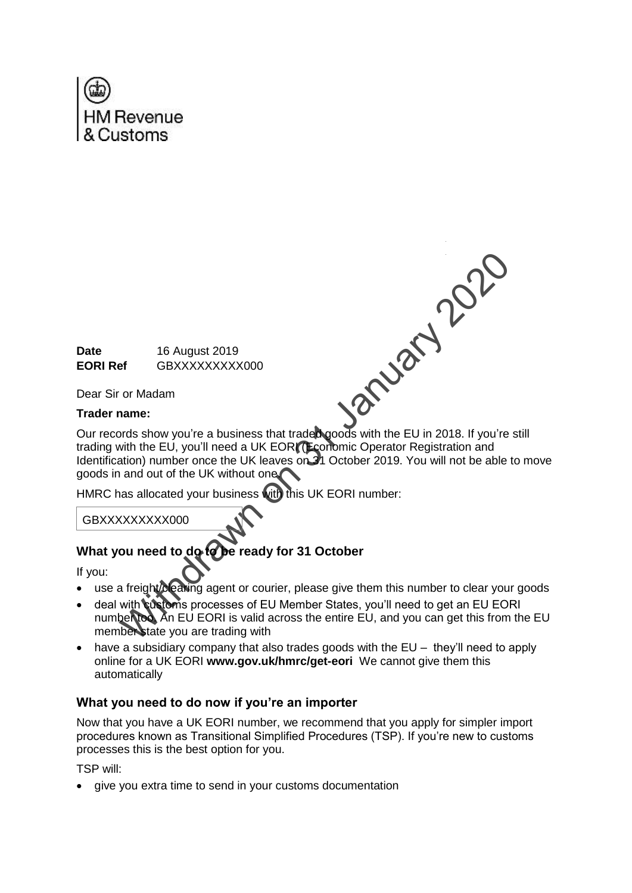

EORI Ref 16 August 2019<br>
Dear Sir or Madam<br>
Trader name:<br>
Our re

**Date** 16 August 2019 **EORI Ref** GBXXXXXXXXX000

Dear Sir or Madam

### **Trader name:**

Our records show you're a business that traded goods with the EU in 2018. If you're still trading with the EU, you'll need a UK EORI (Economic Operator Registration and Identification) number once the UK leaves on 31 October 2019. You will not be able to move goods in and out of the UK without one.

HMRC has allocated your business with this UK EORI number:

GBXXXXXXXXX000

# What you need to do to be ready for 31 October

If you:

- use a freight/clearing agent or courier, please give them this number to clear your goods
- deal with customs processes of EU Member States, you'll need to get an EU EORI number too. An EU EORI is valid across the entire EU, and you can get this from the EU member state you are trading with
- $\bullet$  have a subsidiary company that also trades goods with the EU they'll need to apply online for a UK EORI **www.gov.uk/hmrc/get-eori** We cannot give them this automatically

## **What you need to do now if you're an importer**

Now that you have a UK EORI number, we recommend that you apply for simpler import procedures known as Transitional Simplified Procedures (TSP). If you're new to customs processes this is the best option for you.

TSP will:

• give you extra time to send in your customs documentation